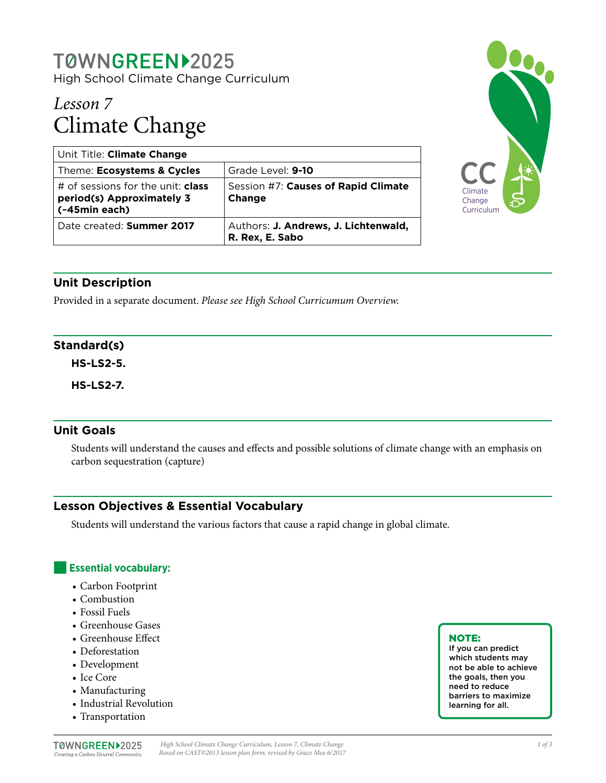### T0WNGREEN>2025 High School Climate Change Curriculum

# *Lesson 7* Climate Change

| Unit Title: Climate Change                                                             |                                                         |
|----------------------------------------------------------------------------------------|---------------------------------------------------------|
| Theme: Ecosystems & Cycles                                                             | Grade Level: 9-10                                       |
| # of sessions for the unit: <b>class</b><br>period(s) Approximately 3<br>(~45min each) | Session #7: Causes of Rapid Climate<br>Change           |
| Date created: Summer 2017                                                              | Authors: J. Andrews, J. Lichtenwald,<br>R. Rex, E. Sabo |



### **Unit Description**

Provided in a separate document. *Please see High School Curricumum Overview.*

#### **Standard(s)**

**HS-LS2-5.**

**HS-LS2-7.**

#### **Unit Goals**

Students will understand the causes and effects and possible solutions of climate change with an emphasis on carbon sequestration (capture)

#### **Lesson Objectives & Essential Vocabulary**

Students will understand the various factors that cause a rapid change in global climate.

#### ■**Essential vocabulary:**

- Carbon Footprint
- Combustion
- Fossil Fuels
- Greenhouse Gases
- Greenhouse Effect
- Deforestation
- Development
- Ice Core
- Manufacturing
- Industrial Revolution
- Transportation

#### T0WNGREEN>2025 Creating a Carbon Neutral Community

#### NOTE:

If you can predict which students may not be able to achieve the goals, then you need to reduce barriers to maximize learning for all.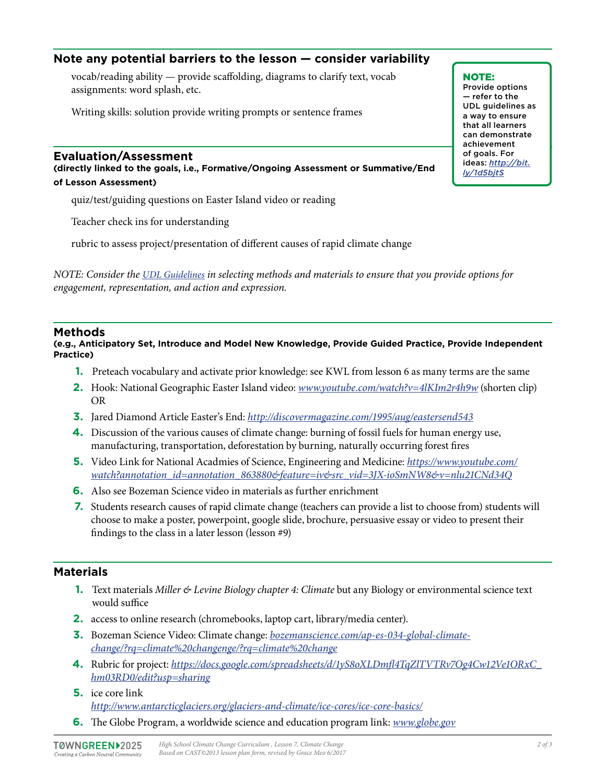#### **Note any potential barriers to the lesson — consider variability**

vocab/reading ability — provide scaffolding, diagrams to clarify text, vocab assignments: word splash, etc.

Writing skills: solution provide writing prompts or sentence frames

#### **Evaluation/Assessment**

**(directly linked to the goals, i.e., Formative/Ongoing Assessment or Summative/End of Lesson Assessment)**

quiz/test/guiding questions on Easter Island video or reading

Teacher check ins for understanding

rubric to assess project/presentation of different causes of rapid climate change

*NOTE: Consider the [UDL Guidelines](http://bit.ly/1d5bjtS) in selecting methods and materials to ensure that you provide options for engagement, representation, and action and expression.* 

#### **Methods**

**(e.g., Anticipatory Set, Introduce and Model New Knowledge, Provide Guided Practice, Provide Independent Practice)**

- **1.** Preteach vocabulary and activate prior knowledge: see KWL from lesson 6 as many terms are the same
- **2.** Hook: National Geographic Easter Island video: *[www.youtube.com/watch?v=4lKIm2r4h9w](http://www.youtube.com/watch?v=4lKIm2r4h9w)* (shorten clip) OR
- **3.** Jared Diamond Article Easter's End: *<http://discovermagazine.com/1995/aug/eastersend543>*
- **4.** Discussion of the various causes of climate change: burning of fossil fuels for human energy use, manufacturing, transportation, deforestation by burning, naturally occurring forest fires
- **5.** Video Link for National Acadmies of Science, Engineering and Medicine: *[https://www.youtube.com/](https://www.youtube.com/watch?annotation_id=annotation_863880&feature=iv&src_vid=3JX-ioSmNW8&v=nlu21CNd34Q) [watch?annotation\\_id=annotation\\_863880&feature=iv&src\\_vid=3JX-ioSmNW8&v=nlu21CNd34Q](https://www.youtube.com/watch?annotation_id=annotation_863880&feature=iv&src_vid=3JX-ioSmNW8&v=nlu21CNd34Q)*
- **6.** Also see Bozeman Science video in materials as further enrichment
- **7.** Students research causes of rapid climate change (teachers can provide a list to choose from) students will choose to make a poster, powerpoint, google slide, brochure, persuasive essay or video to present their findings to the class in a later lesson (lesson #9)

#### **Materials**

- **1.** Text materials *Miller & Levine Biology chapter 4: Climate* but any Biology or environmental science text would suffice
- **2.** access to online research (chromebooks, laptop cart, library/media center).
- **3.** Bozeman Science Video: Climate change: *[bozemanscience.com/ap-es-034-global-climate](http://bozemanscience.com/ap-es-034-global-climate-change/?rq=climate%20changenge/?rq=climate%20change)[change/?rq=climate%20changenge/?rq=climate%20change](http://bozemanscience.com/ap-es-034-global-climate-change/?rq=climate%20changenge/?rq=climate%20change)*
- **4.** Rubric for project: *[https://docs.google.com/spreadsheets/d/1yS8oXLDmfl4TqZlTVTRv7Og4Cw12Ve1ORxC\\_](https://docs.google.com/spreadsheets/d/1yS8oXLDmfl4TqZlTVTRv7Og4Cw12Ve1ORxC_hm03RD0/edit?usp=sharing) [hm03RD0/edit?usp=sharing](https://docs.google.com/spreadsheets/d/1yS8oXLDmfl4TqZlTVTRv7Og4Cw12Ve1ORxC_hm03RD0/edit?usp=sharing)*
- **5.** ice core link *<http://www.antarcticglaciers.org/glaciers-and-climate/ice-cores/ice-core-basics/>*
- **6.** The Globe Program, a worldwide science and education program link: *[www.globe.gov](http://www.globe.gov)*

#### NOTE:

Provide options — refer to the UDL guidelines as a way to ensure that all learners can demonstrate achievement of goals. For ideas: *http://bit. ly/1d5bjtS*